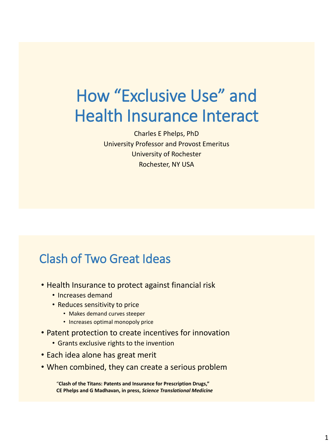# How "Exclusive Use" and Health Insurance Interact

Charles E Phelps, PhD University Professor and Provost Emeritus University of Rochester Rochester, NY USA

### Clash of Two Great Ideas

- Health Insurance to protect against financial risk
	- Increases demand
	- Reduces sensitivity to price
		- Makes demand curves steeper
		- Increases optimal monopoly price
- Patent protection to create incentives for innovation
	- Grants exclusive rights to the invention
- Each idea alone has great merit
- When combined, they can create a serious problem

"**Clash of the Titans: Patents and Insurance for Prescription Drugs," CE Phelps and G Madhavan, in press,** *Science Translational Medicine*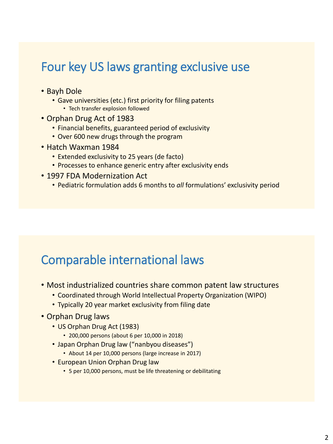#### Four key US laws granting exclusive use

- Bayh Dole
	- Gave universities (etc.) first priority for filing patents
		- Tech transfer explosion followed
- Orphan Drug Act of 1983
	- Financial benefits, guaranteed period of exclusivity
	- Over 600 new drugs through the program
- Hatch Waxman 1984
	- Extended exclusivity to 25 years (de facto)
	- Processes to enhance generic entry after exclusivity ends
- 1997 FDA Modernization Act
	- Pediatric formulation adds 6 months to *all* formulations' exclusivity period

### Comparable international laws

- Most industrialized countries share common patent law structures
	- Coordinated through World Intellectual Property Organization (WIPO)
	- Typically 20 year market exclusivity from filing date
- Orphan Drug laws
	- US Orphan Drug Act (1983)
		- 200,000 persons (about 6 per 10,000 in 2018)
	- Japan Orphan Drug law ("nanbyou diseases")
		- About 14 per 10,000 persons (large increase in 2017)
	- European Union Orphan Drug law
		- 5 per 10,000 persons, must be life threatening or debilitating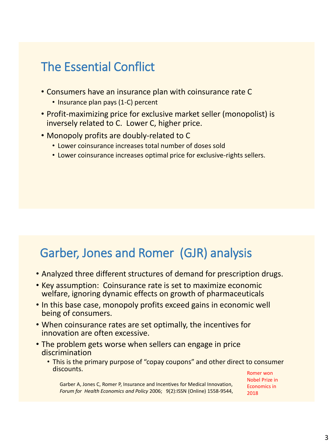### The Essential Conflict

- Consumers have an insurance plan with coinsurance rate C
	- Insurance plan pays (1-C) percent
- Profit-maximizing price for exclusive market seller (monopolist) is inversely related to C. Lower C, higher price.
- Monopoly profits are doubly-related to C
	- Lower coinsurance increases total number of doses sold
	- Lower coinsurance increases optimal price for exclusive-rights sellers.

### Garber, Jones and Romer (GJR) analysis

- Analyzed three different structures of demand for prescription drugs.
- Key assumption: Coinsurance rate is set to maximize economic welfare, ignoring dynamic effects on growth of pharmaceuticals
- In this base case, monopoly profits exceed gains in economic well being of consumers.
- When coinsurance rates are set optimally, the incentives for innovation are often excessive.
- The problem gets worse when sellers can engage in price discrimination
	- This is the primary purpose of "copay coupons" and other direct to consumer discounts. Romer won

Nobel Prize in Economics in 2018

Garber A, Jones C, Romer P, Insurance and Incentives for Medical Innovation, *Forum for Health Economics and Policy* 2006; 9(2):ISSN (Online) 1558-9544,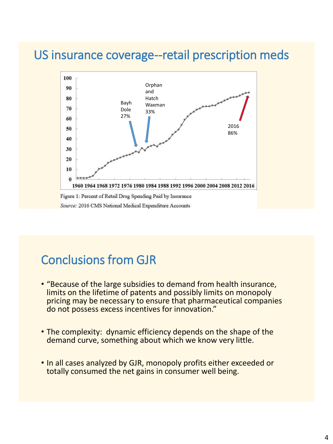#### US insurance coverage--retail prescription meds



Source: 2016 CMS National Medical Expenditure Accounts

### Conclusions from GJR

- "Because of the large subsidies to demand from health insurance, limits on the lifetime of patents and possibly limits on monopoly pricing may be necessary to ensure that pharmaceutical companies do not possess excess incentives for innovation."
- The complexity: dynamic efficiency depends on the shape of the demand curve, something about which we know very little.
- In all cases analyzed by GJR, monopoly profits either exceeded or totally consumed the net gains in consumer well being.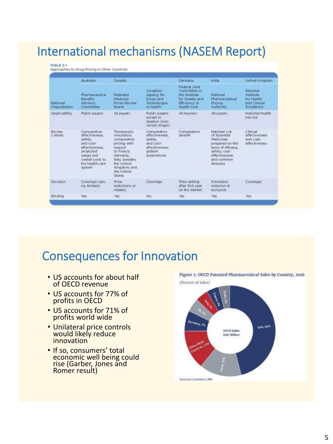## International mechanisms (NASEM Report)

#### TABLE 3-1

Approaches to Drug Pricing in Other Countries

| <b>National</b><br>Organization | Australia                                                                                                                                          | Canada                                                                                                                                                                 |                                                                                                    | Germany                                                                                             | India                                                                                                                                            | United Kingdom                                                     |
|---------------------------------|----------------------------------------------------------------------------------------------------------------------------------------------------|------------------------------------------------------------------------------------------------------------------------------------------------------------------------|----------------------------------------------------------------------------------------------------|-----------------------------------------------------------------------------------------------------|--------------------------------------------------------------------------------------------------------------------------------------------------|--------------------------------------------------------------------|
|                                 | Pharmaceutical<br>Benefits<br>Advisory.<br>Committee                                                                                               | Patented<br>Medicine<br>Prices Review<br>Board                                                                                                                         | Canadian<br>Agency for<br><b>Drugs and</b><br><b>Technologies</b><br>in Health                     | Federal Joint<br>Committee or<br>the rigilitate.<br>for Quality and<br>Efficiency in<br>Health Care | National<br>Pharmaceutical<br>Pricing<br>Authority                                                                                               | National<br>tratitute.<br>for Health<br>and Clinical<br>Excellence |
| Applicability                   | Public payers                                                                                                                                      | All payers                                                                                                                                                             | Public payers<br>except in<br>Quebec (non-<br>cancer drugs)                                        | All insurers<br><b>CONTROL</b>                                                                      | All payers                                                                                                                                       | National Health<br>Service                                         |
| Rescieve<br>Criteria            | Comparative<br>effectiveness.<br>safety.<br>and cost-<br>effectiveness:<br>projected<br>usage and<br>overall costs to<br>the health care<br>system | Therapeutic<br>innovation:<br>comparative<br>pricing with<br>respect<br>to Franco.<br>Germany.<br>Italy, Sweden,<br>the United<br>Kingdom, and<br>the United<br>States | Comparative<br>affectiveness.<br>safety.<br>and cost-<br>effectiveness:<br>patient.<br>experiences | Comparative<br>benefit                                                                              | National List<br>of Essential<br>Medicines<br>prepared on the<br>basis of efficacy.<br>safety, cost-<br>effectiveness.<br>and common<br>diseases | Clinical<br>affectiveness<br>and cost-<br>offectiveness            |
| Decision                        | Coverlage (yes,<br>no. limited)                                                                                                                    | <b>Price</b><br>reductions or<br>returnes                                                                                                                              | Coverage                                                                                           | Price setting<br>after first year.<br>on the market                                                 | Formulary<br>indusion or<br>exclusion                                                                                                            | Coverson                                                           |
| Binding                         | <b>Yers:</b>                                                                                                                                       | <b>Yes</b>                                                                                                                                                             | No                                                                                                 | <b>Yes</b>                                                                                          | Yes.                                                                                                                                             | Yes.                                                               |

### Consequences for Innovation

- US accounts for about half of OECD revenue
- US accounts for 77% of profits in OECD
- US accounts for 71% of profits world wide
- Unilateral price controls would likely reduce innovation
- If so, consumers' total economic well being could rise (Garber, Jones and Romer result)

Figure 2. OECD Patented Pharmaceutical Sales by Country, 2016